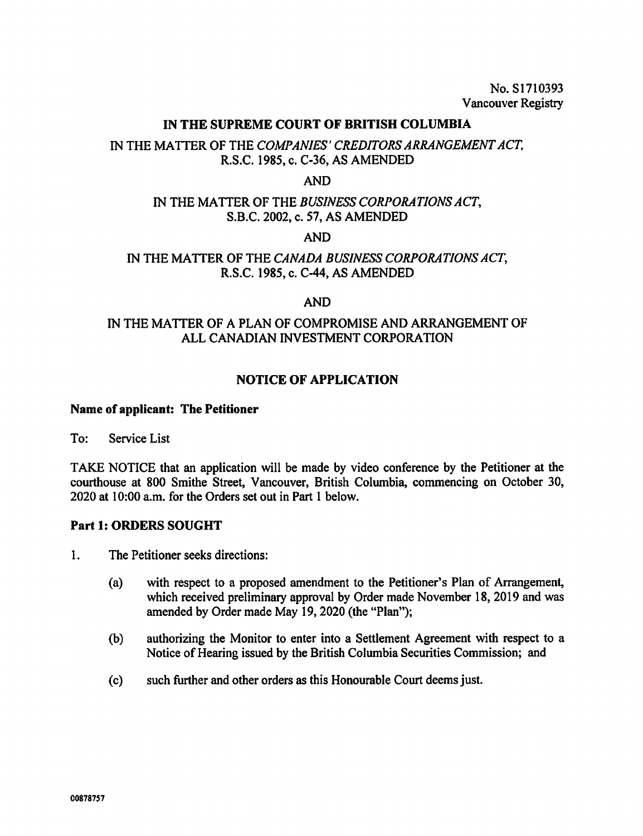No. S1710393 Vancouver Registry

#### IN THE SUPREME COURT OF BRITISH COLUMBIA

# IN THE MATTER OF THE COMPANIES' CREDITORS ARRANGEMENT ACT, R.S.C. 1985, c. C-36, AS AMENDED

#### AND

### IN THE MATTER OF THE BUSINESS CORPORATIONS ACT, S.B.C. 2002, c. 57, AS AMENDED

AND

### IN THE MATTER OF THE CANADA BUSINESS CORPORATIONS ACT, R.S.C. 1985, c. C-44, AS AMENDED

#### AND

## IN THE MATTER OF A PLAN OF COMPROMISE AND ARRANGEMENT OF ALL CANADIAN INVESTMENT CORPORATION

### NOTICE OF APPLICATION

#### Name of applicant: The Petitioner

To: Service List

TAKE NOTICE that an application will be made by video conference by the Petitioner at the courthouse at 800 Smithe Street, Vancouver, British Columbia, commencing on October 30, 2020 at 10:00 a.m. for the Orders set out in Part 1 below.

#### Part 1: ORDERS SOUGHT

- 1. The Petitioner seeks directions:
	- (a) with respect to a proposed amendment to the Petitioner's Plan of Arrangement, which received preliminary approval by Order made November 18, 2019 and was amended by Order made May 19, 2020 (the "Plan");
	- (b) authorizing the Monitor to enter into a Settlement Agreement with respect to a Notice of Hearing issued by the British Columbia Securities Commission; and
	- (c) such further and other orders as this Honourable Court deems just.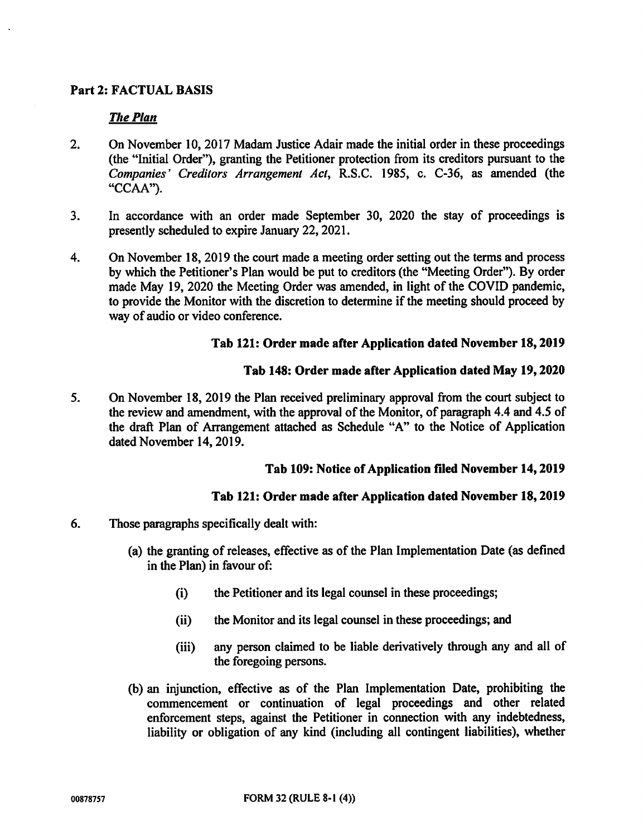## Part 2: FACTUAL BASIS

### The Plan

- 2. On November 10, 2017 Madam Justice Adair made the initial order in these proceedings (the "Initial Order"), granting the Petitioner protection from its creditors pursuant to the Companies' Creditors Arrangement Act, R.S.C. 1985, c. C-36, as amended (the "CCAA").
- 3. In accordance with an order made September 30, 2020 the stay of proceedings is presently scheduled to expire January 22, 2021.
- 4. On November 18, 2019 the court made a meeting order setting out the terms and process by which the Petitioner's Plan would be put to creditors (the "Meeting Order"). By order made May 19, 2020 the Meeting Order was amended, in light of the COVID pandemic, to provide the Monitor with the discretion to determine if the meeting should proceed by way of audio or video conference.

### Tab 121: Order made after Application dated November 18, 2019

### Tab 148: Order made after Application dated May 19, 2020

5. On November 18, 2019 the Plan received preliminary approval from the court subject to the review and amendment, with the approval of the Monitor, of paragraph 4.4 and 4.5 of the draft Plan of Arrangement attached as Schedule "A" to the Notice of Application dated November 14, 2019.

### Tab 109: Notice of Application filed November 14, 2019

### Tab 121: Order made after Application dated November 18, 2019

- 6. Those paragraphs specifically dealt with:
	- (a) the granting of releases, effective as of the Plan Implementation Date (as defined in the Plan) in favour of:
		- (i) the Petitioner and its legal counsel in these proceedings;
		- (ii) the Monitor and its legal counsel in these proceedings; and
		- (iii) any person claimed to be liable derivatively through any and all of the foregoing persons.
	- (b) an injunction, effective as of the Plan Implementation Date, prohibiting the commencement or continuation of legal proceedings and other related enforcement steps, against the Petitioner in connection with any indebtedness, liability or obligation of any kind (including all contingent liabilities), whether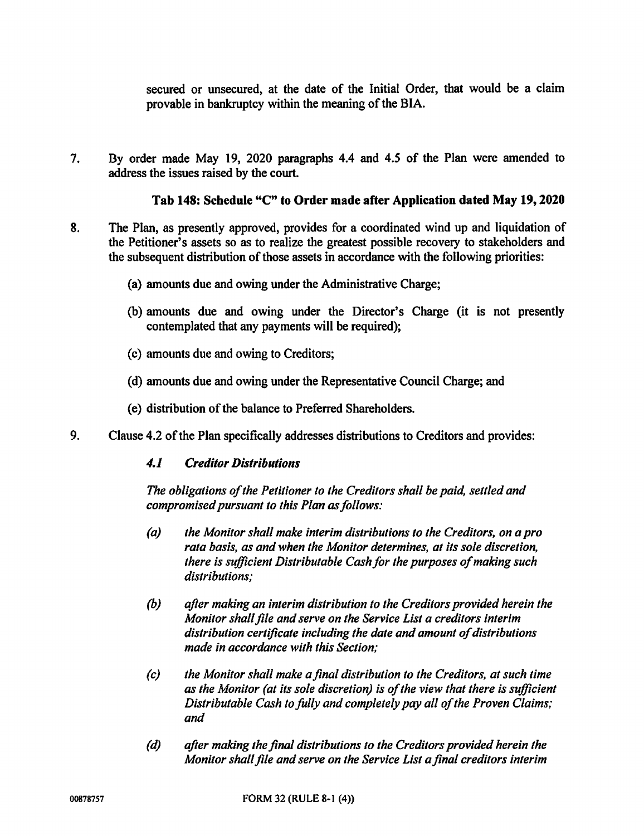secured or unsecured, at the date of the Initial Order, that would be a claim provable in bankruptcy within the meaning of the BIA.

7. By order made May 19, 2020 paragraphs 4.4 and 4.5 of the Plan were amended to address the issues raised by the court.

### Tab 148: Schedule "C" to Order made after Application dated May 19, 2020

- 8. The Plan, as presently approved, provides for a coordinated wind up and liquidation of the Petitioner's assets so as to realize the greatest possible recovery to stakeholders and the subsequent distribution of those assets in accordance with the following priorities:
	- (a) amounts due and owing under the Administrative Charge;
	- (b) amounts due and owing under the Director's Charge (it is not presently contemplated that any payments will be required);
	- (c) amounts due and owing to Creditors;
	- (d) amounts due and owing under the Representative Council Charge; and
	- (e) distribution of the balance to Preferred Shareholders.
- 9. Clause 4.2 of the Plan specifically addresses distributions to Creditors and provides:

### 4.1 Creditor Distributions

The obligations of the Petitioner to the Creditors shall be paid, settled and compromised pursuant to this Plan as follows:

- (a) the Monitor shall make interim distributions to the Creditors, on a pro rata basis, as and when the Monitor determines, at its sole discretion, there is sufficient Distributable Cash for the purposes of making such distributions;
- (b) after making an interim distribution to the Creditors provided herein the Monitor shall file and serve on the Service List a creditors interim distribution certificate including the date and amount of distributions made in accordance with this Section;
- (c) the Monitor shall make a final distribution to the Creditors, at such time as the Monitor (at its sole discretion) is of the view that there is sufficient Distributable Cash to fully and completely pay all of the Proven Claims; and
- (d) after making the final distributions to the Creditors provided herein the Monitor shall file and serve on the Service List a final creditors interim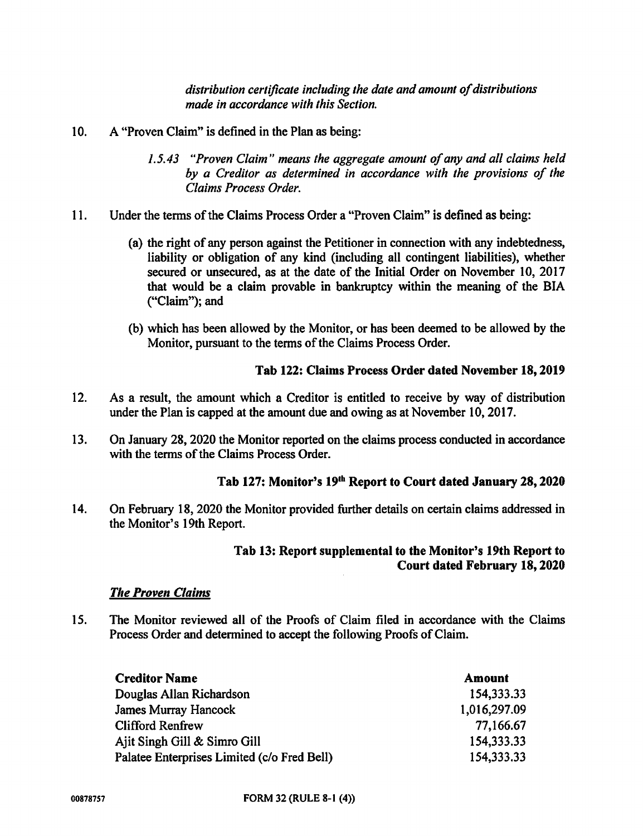distribution certificate including the date and amount of distributions made in accordance with this Section.

- 10. A "Proven Claim" is defined in the Plan as being:
	- 1.5.43 "Proven Claim" means the aggregate amount of any and all claims held by a Creditor as determined in accordance with the provisions of the Claims Process Order.
- 11. Under the terms of the Claims Process Order a "Proven Claim" is defined as being:
	- (a) the right of any person against the Petitioner in connection with any indebtedness, liability or obligation of any kind (including all contingent liabilities), whether secured or unsecured, as at the date of the Initial Order on November 10, 2017 that would be a claim provable in bankruptcy within the meaning of the BIA ("Claim"); and
	- (b) which has been allowed by the Monitor, or has been deemed to be allowed by the Monitor, pursuant to the terms of the Claims Process Order.

# Tab 122: Claims Process Order dated November 18, 2019

- 12. As a result, the amount which a Creditor is entitled to receive by way of distribution under the Plan is capped at the amount due and owing as at November 10, 2017.
- 13. On January 28, 2020 the Monitor reported on the claims process conducted in accordance with the terms of the Claims Process Order.

### Tab 127: Monitor's 19th Report to Court dated January 28, 2020

14. On February 18, 2020 the Monitor provided further details on certain claims addressed in the Monitor's 19th Report.

### Tab 13: Report supplemental to the Monitor's 19th Report to Court dated February 18, 2020

### **The Proven Claims**

15. The Monitor reviewed all of the Proofs of Claim filed in accordance with the Claims Process Order and determined to accept the following Proofs of Claim.

| <b>Creditor Name</b>                        | Amount       |
|---------------------------------------------|--------------|
| Douglas Allan Richardson                    | 154,333.33   |
| <b>James Murray Hancock</b>                 | 1,016,297.09 |
| <b>Clifford Renfrew</b>                     | 77,166.67    |
| Ajit Singh Gill & Simro Gill                | 154,333.33   |
| Palatee Enterprises Limited (c/o Fred Bell) | 154, 333, 33 |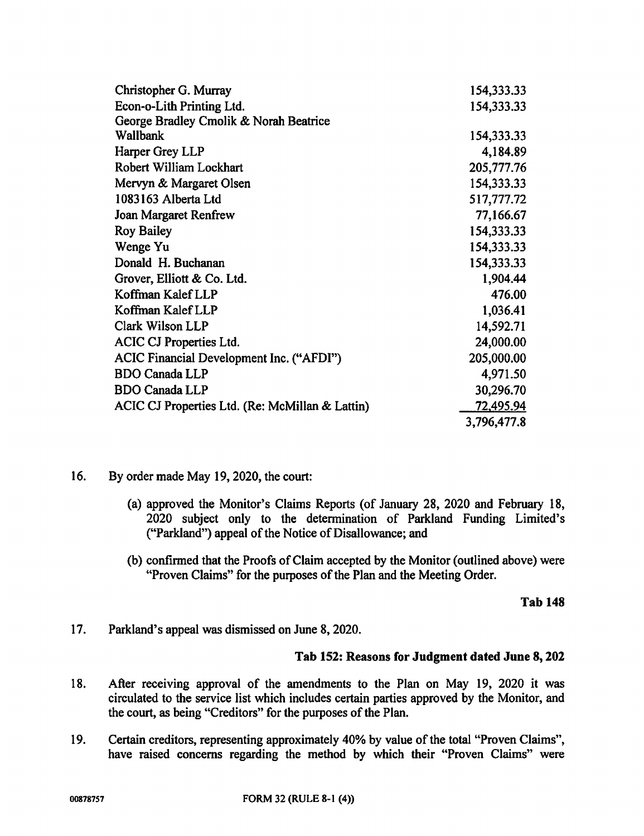| Christopher G. Murray                           | 154,333.33  |
|-------------------------------------------------|-------------|
| Econ-o-Lith Printing Ltd.                       | 154,333.33  |
| George Bradley Cmolik & Norah Beatrice          |             |
| Wallbank                                        | 154,333.33  |
| Harper Grey LLP                                 | 4,184.89    |
| Robert William Lockhart                         | 205,777.76  |
| Mervyn & Margaret Olsen                         | 154,333.33  |
| 1083163 Alberta Ltd                             | 517,777.72  |
| <b>Joan Margaret Renfrew</b>                    | 77,166.67   |
| <b>Roy Bailey</b>                               | 154,333.33  |
| Wenge Yu                                        | 154,333.33  |
| Donald H. Buchanan                              | 154,333.33  |
| Grover, Elliott & Co. Ltd.                      | 1,904.44    |
| Koffman Kalef LLP                               | 476.00      |
| Koffman Kalef LLP                               | 1,036.41    |
| Clark Wilson LLP                                | 14,592.71   |
| ACIC CJ Properties Ltd.                         | 24,000.00   |
| ACIC Financial Development Inc. ("AFDI")        | 205,000.00  |
| <b>BDO Canada LLP</b>                           | 4,971.50    |
| <b>BDO Canada LLP</b>                           | 30,296.70   |
| ACIC CJ Properties Ltd. (Re: McMillan & Lattin) | 72,495.94   |
|                                                 | 3,796,477.8 |

- 16. By order made May 19, 2020, the court:
	- (a) approved the Monitor's Claims Reports (of January 28, 2020 and February 18, 2020 subject only to the determination of Parkland Funding Limited's ("Parkland") appeal of the Notice of Disallowance; and
	- (b) confirmed that the Proofs of Claim accepted by the Monitor (outlined above) were "Proven Claims" for the purposes of the Plan and the Meeting Order.

Tab 148

17. Parkland's appeal was dismissed on June 8, 2020.

### Tab 152: Reasons for Judgment dated June 8, 202

- 18. After receiving approval of the amendments to the Plan on May 19, 2020 it was circulated to the service list which includes certain parties approved by the Monitor, and the court, as being "Creditors" for the purposes of the Plan.
- 19. Certain creditors, representing approximately 40% by value of the total "Proven Claims", have raised concerns regarding the method by which their "Proven Claims" were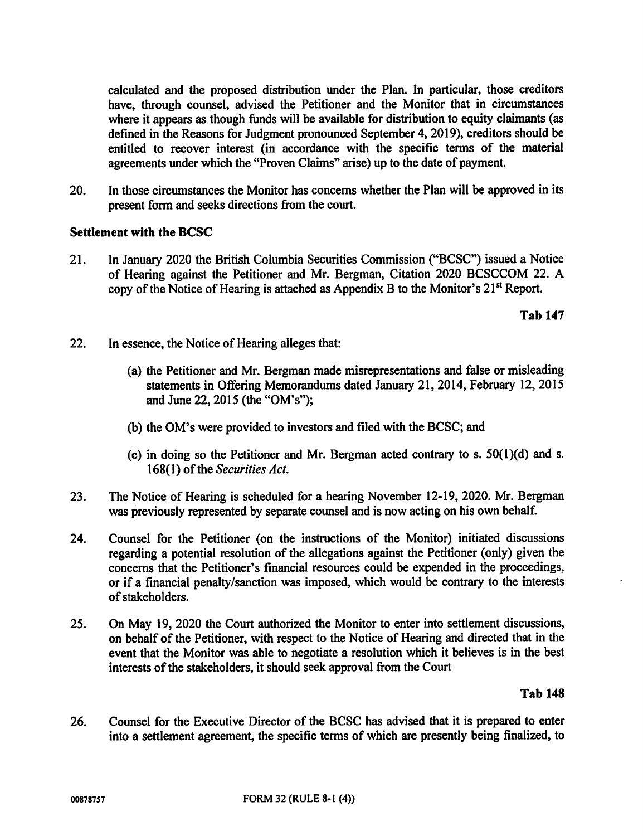calculated and the proposed distribution under the Plan. In particular, those creditors have, through counsel, advised the Petitioner and the Monitor that in circumstances where it appears as though funds will be available for distribution to equity claimants (as defined in the Reasons for Judgment pronounced September 4, 2019), creditors should be entitled to recover interest (in accordance with the specific terms of the material agreements under which the "Proven Claims" arise) up to the date of payment.

20. In those circumstances the Monitor has concerns whether the Plan will be approved in its present form and seeks directions from the court.

### Settlement with the BCSC

21. In January 2020 the British Columbia Securities Commission ("BCSC") issued a Notice of Hearing against the Petitioner and Mr. Bergman, Citation 2020 BCSCCOM 22. A copy of the Notice of Hearing is attached as Appendix B to the Monitor's 21st Report.

Tab 147

- 22. In essence, the Notice of Hearing alleges that:
	- (a) the Petitioner and Mr. Bergman made misrepresentations and false or misleading statements in Offering Memorandums dated January 21, 2014, February 12, 2015 and June 22, 2015 (the "OM's");
	- (b) the OM's were provided to investors and filed with the BCSC; and
	- (c) in doing so the Petitioner and Mr. Bergman acted contrary to s. 50(1)(d) and s. 168(1) of the Securities Act.
- 23. The Notice of Hearing is scheduled for a hearing November 12-19, 2020. Mr. Bergman was previously represented by separate counsel and is now acting on his own behalf.
- 24. Counsel for the Petitioner (on the instructions of the Monitor) initiated discussions regarding a potential resolution of the allegations against the Petitioner (only) given the concerns that the Petitioner's financial resources could be expended in the proceedings, or if a financial penalty/sanction was imposed, which would be contrary to the interests of stakeholders.
- 25. On May 19, 2020 the Court authorized the Monitor to enter into settlement discussions, on behalf of the Petitioner, with respect to the Notice of Hearing and directed that in the event that the Monitor was able to negotiate a resolution which it believes is in the best interests of the stakeholders, it should seek approval from the Court

Tab 148

26. Counsel for the Executive Director of the BCSC has advised that it is prepared to enter into a settlement agreement, the specific terms of which are presently being finalized, to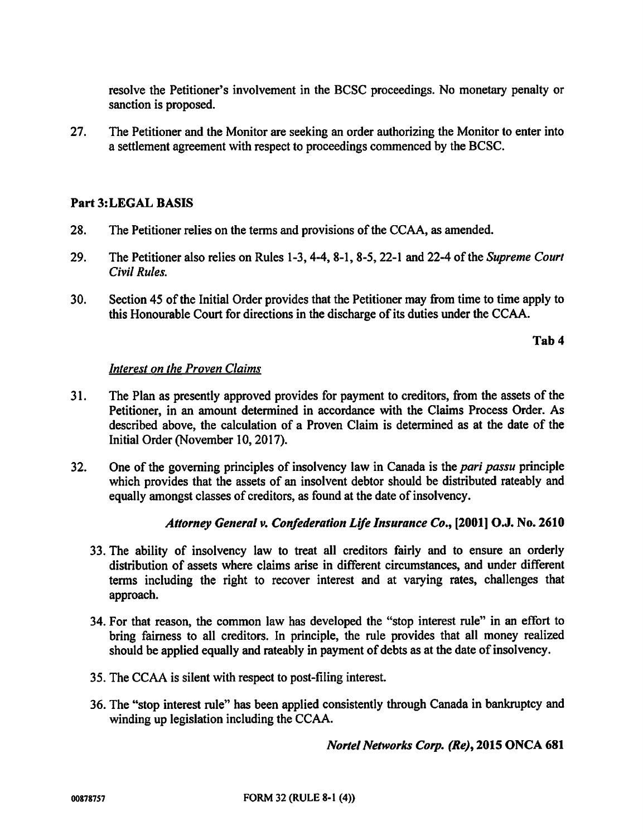resolve the Petitioner's involvement in the BCSC proceedings. No monetary penalty or sanction is proposed.

27. The Petitioner and the Monitor are seeking an order authorizing the Monitor to enter into a settlement agreement with respect to proceedings commenced by the BCSC.

## Part 3:LEGAL BASIS

- 28. The Petitioner relies on the terms and provisions of the CCAA, as amended.
- 29. The Petitioner also relies on Rules 1-3, 4-4, 8-1, 8-5, 22-1 and 22-4 of the Supreme Court Civil Rules.
- 30. Section 45 of the Initial Order provides that the Petitioner may from time to time apply to this Honourable Court for directions in the discharge of its duties under the CCAA.

Tab 4

### Interest on the Proven Claims

- 31. The Plan as presently approved provides for payment to creditors, from the assets of the Petitioner, in an amount determined in accordance with the Claims Process Order. As described above, the calculation of a Proven Claim is determined as at the date of the Initial Order (November 10, 2017).
- 32. One of the governing principles of insolvency law in Canada is the *pari passu* principle which provides that the assets of an insolvent debtor should be distributed rateably and equally amongst classes of creditors, as found at the date of insolvency.

# Attorney General v. Confederation Life Insurance Co., [2001] O.J. No. 2610

- 33. The ability of insolvency law to treat all creditors fairly and to ensure an orderly distribution of assets where claims arise in different circumstances, and under different terms including the right to recover interest and at varying rates, challenges that approach.
- 34. For that reason, the common law has developed the "stop interest rule" in an effort to bring fairness to all creditors. In principle, the rule provides that all money realized should be applied equally and rateably in payment of debts as at the date of insolvency.
- 35. The CCAA is silent with respect to post-filing interest.
- 36. The "stop interest rule" has been applied consistently through Canada in bankruptcy and winding up legislation including the CCAA.

Norte! Networks Corp. (Re), 2015 ONCA 681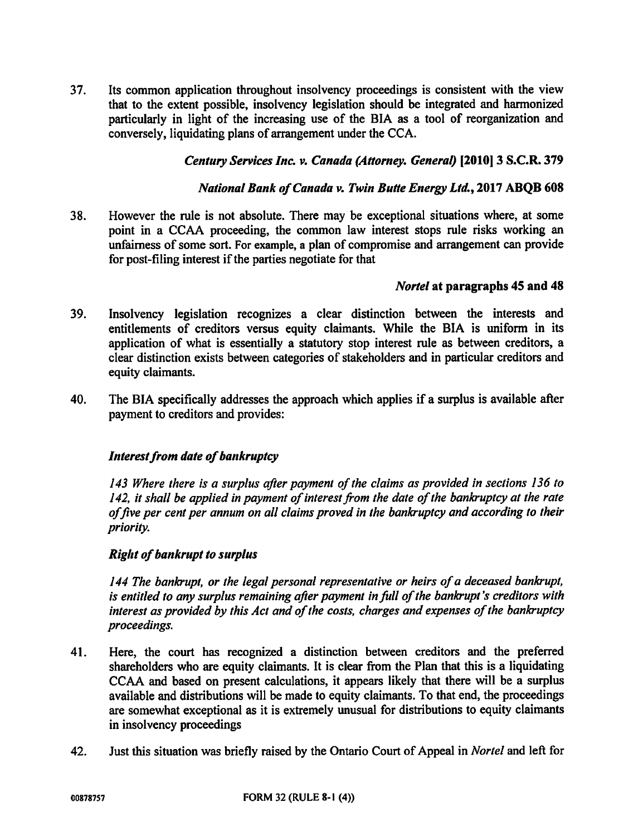37. Its common application throughout insolvency proceedings is consistent with the view that to the extent possible, insolvency legislation should be integrated and harmonized particularly in light of the increasing use of the BIA as a tool of reorganization and conversely, liquidating plans of arrangement under the CCA.

# Century Services Inc. v. Canada (Attorney. General) 12010] 3 S.C.R. 379

### National Bank of Canada v. Twin Butte Energy Ltd., 2017 ABQB 608

38. However the rule is not absolute. There may be exceptional situations where, at some point in a CCAA proceeding, the common law interest stops rule risks working an unfairness of some sort. For example, a plan of compromise and arrangement can provide for post-filing interest if the parties negotiate for that

### Nortel at paragraphs 45 and 48

- 39. Insolvency legislation recognizes a clear distinction between the interests and entitlements of creditors versus equity claimants. While the BIA is uniform in its application of what is essentially a statutory stop interest rule as between creditors, a clear distinction exists between categories of stakeholders and in particular creditors and equity claimants.
- 40. The BIA specifically addresses the approach which applies if a surplus is available after payment to creditors and provides:

### Interest from date of bankruptcy

143 Where there is a surplus after payment of the claims as provided in sections 136 to 142, it shall be applied in payment of interest from the date of the bankruptcy at the rate offive per cent per annum on all claims proved in the bankruptcy and according to their priority.

# Right of bankrupt to surplus

144 The bankrupt, or the legal personal representative or heirs of a deceased bankrupt, is entitled to any surplus remaining after payment in full of the bankrupt's creditors with interest as provided by this Act and of the costs, charges and expenses of the bankruptcy proceedings.

- 41. Here, the court has recognized a distinction between creditors and the preferred shareholders who are equity claimants. It is clear from the Plan that this is a liquidating CCAA and based on present calculations, it appears likely that there will be a surplus available and distributions will be made to equity claimants. To that end, the proceedings are somewhat exceptional as it is extremely unusual for distributions to equity claimants in insolvency proceedings
- 42. Just this situation was briefly raised by the Ontario Court of Appeal in Nortel and left for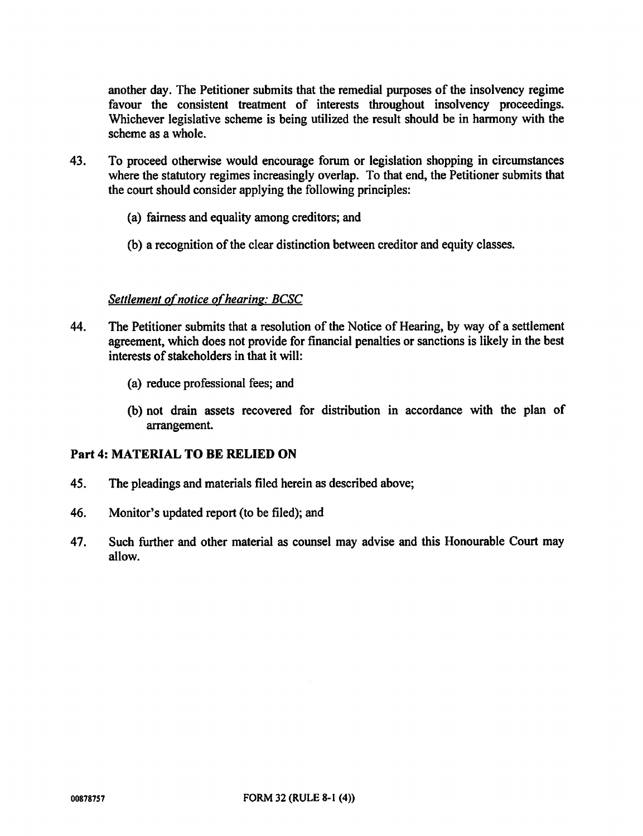another day. The Petitioner submits that the remedial purposes of the insolvency regime favour the consistent treatment of interests throughout insolvency proceedings. Whichever legislative scheme is being utilized the result should he in harmony with the scheme as a whole.

- 43. To proceed otherwise would encourage forum or legislation shopping in circumstances where the statutory regimes increasingly overlap. To that end, the Petitioner submits that the court should consider applying the following principles:
	- (a) fairness and equality among creditors; and
	- (b) a recognition of the clear distinction between creditor and equity classes.

### Settlement of notice of hearing: BCSC

- 44. The Petitioner submits that a resolution of the Notice of Hearing, by way of a settlement agreement, which does not provide for financial penalties or sanctions is likely in the best interests of stakeholders in that it will:
	- (a) reduce professional fees; and
	- (b) not drain assets recovered for distribution in accordance with the plan of arrangement.

### Part 4: MATERIAL TO BE RELIED ON

- 45. The pleadings and materials filed herein as described above;
- 46. Monitor's updated report (to be filed); and
- 47. Such further and other material as counsel may advise and this Honourable Court may allow.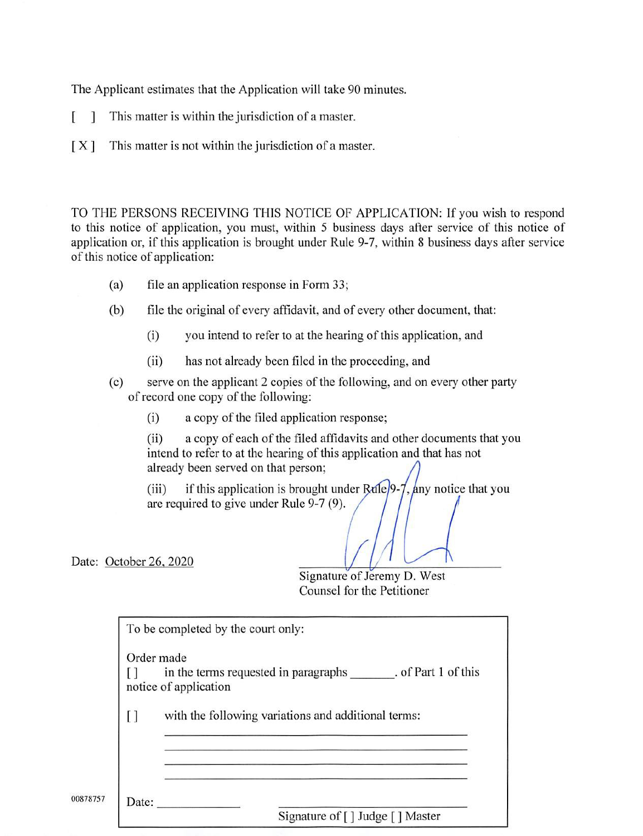The Applicant estimates that the Application will take 90 minutes.

- I This matter is within the jurisdiction of a master.
- [X] This matter is not within the jurisdiction of a master.

TO THE PERSONS RECEIVING THIS NOTICE OF APPLICATION: If you wish to respond to this notice of application, you must, within 5 business days after service of this notice of application or, if this application is brought under Rule 9-7, within 8 business days after service of this notice of application:

- (a) file an application response in Form 33;
- (b) file the original of every affidavit, and of every other document, that:
	- (i) you intend to refer to at the hearing of this application, and
	- (ii) has not already been filed in the proceeding, and
- (c) serve on the applicant 2 copies of the following, and on every other party of record one copy of the following:
	- (i) a copy of the filed application response;

(ii) a copy of each of the filed affidavits and other documents that you intend to refer to at the hearing of this application and that has not already been served on that person;

(iii) if this application is brought under  $\frac{Ra}{2}$ ,  $\frac{lny}{2}$  notice that you are required to give under Rule 9-7 (9).

Date: October 26, 2020

00878757

Signature of Jeremy D. West Counsel for the Petitioner

|    | Order made                                                                        |  |
|----|-----------------------------------------------------------------------------------|--|
|    | in the terms requested in paragraphs . of Part 1 of this<br>notice of application |  |
| L1 | with the following variations and additional terms:                               |  |
|    |                                                                                   |  |
|    |                                                                                   |  |